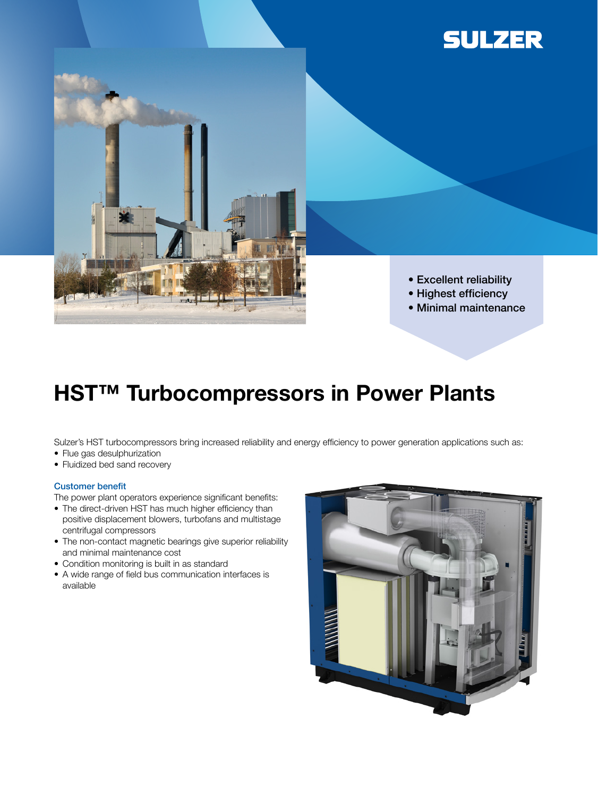



- Excellent reliability
- Highest efficiency
- Minimal maintenance

# **HST™ Turbocompressors in Power Plants**

Sulzer's HST turbocompressors bring increased reliability and energy efficiency to power generation applications such as:

- Flue gas desulphurization
- Fluidized bed sand recovery

#### Customer benefit

The power plant operators experience significant benefits:

- The direct-driven HST has much higher efficiency than positive displacement blowers, turbofans and multistage centrifugal compressors
- The non-contact magnetic bearings give superior reliability and minimal maintenance cost
- Condition monitoring is built in as standard
- A wide range of field bus communication interfaces is available